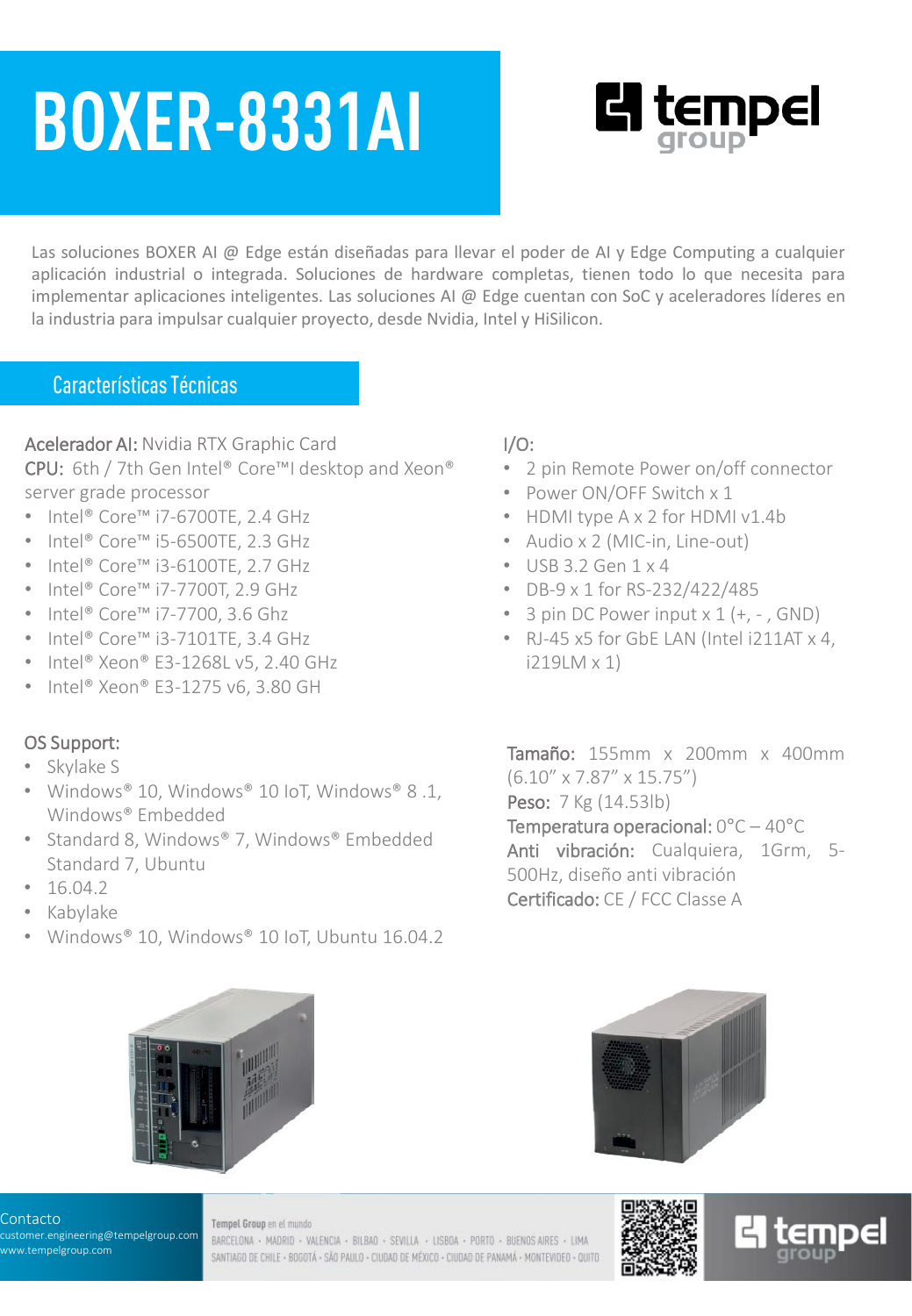# **BOXER-8331AI**



Las soluciones BOXER AI @ Edge están diseñadas para llevar el poder de AI y Edge Computing a cualquier aplicación industrial o integrada. Soluciones de hardware completas, tienen todo lo que necesita para implementar aplicaciones inteligentes. Las soluciones AI @ Edge cuentan con SoC y aceleradores líderes en la industria para impulsar cualquier proyecto, desde Nvidia, Intel y HiSilicon.

### **Características Técnicas**

#### Acelerador AI: Nvidia RTX Graphic Card

CPU: 6th / 7th Gen Intel® Core™I desktop and Xeon® server grade processor

- Intel® Core™ i7-6700TE, 2.4 GHz
- Intel® Core™ i5-6500TE, 2.3 GHz
- Intel® Core™ i3-6100TE, 2.7 GHz
- Intel® Core™ i7-7700T, 2.9 GHz
- Intel® Core™ i7-7700, 3.6 Ghz
- Intel® Core™ i3-7101TE, 3.4 GHz
- Intel® Xeon® E3-1268L v5, 2.40 GHz
- $\cdot$  Intel® Xeon® E3-1275 v6, 3.80 GH

#### OS Support:

- Skylake S
- Windows® 10, Windows® 10 IoT, Windows® 8 .1, Windows® Embedded
- Standard 8, Windows® 7, Windows® Embedded Standard 7, Ubuntu
- $16.04.2$
- Kabylake
- Windows® 10, Windows® 10 IoT, Ubuntu 16.04.2



#### Contacto

customer.engineering@tempelgroup.com www.tempelgroup.com

#### Tempel Group en el mundo

BARCELONA · MADRID · VALENCIA · BILBAO · SEVILLA · LISBOA · PORTO · BUENOS AIRES · LIMA SANTIAGO DE CHILE - BOGOTÁ - SÃO PAULO - CIUDAD DE MÉXICO - CIUDAD DE PANAMÁ - MONTEVIDEO - QUITO

#### I/O:

- 2 pin Remote Power on/off connector
- Power ON/OFF Switch x 1
- HDMI type A x 2 for HDMI v1.4b
- Audio x 2 (MIC-in, Line-out)
- $\cdot$  USB 3.2 Gen  $1 \times 4$
- DB-9 x 1 for RS-232/422/485
- 3 pin DC Power input  $x 1 (+, -, GND)$
- RJ-45 x5 for GbE LAN (Intel i211AT x 4, i219LM x 1)

Tamaño: 155mm x 200mm x 400mm (6.10" x 7.87" x 15.75") Peso: 7 Kg (14.53lb) Temperatura operacional: 0°C – 40°C Anti vibración: Cualquiera, 1Grm, 5-500Hz, diseño anti vibración Certificado: CE / FCC Classe A